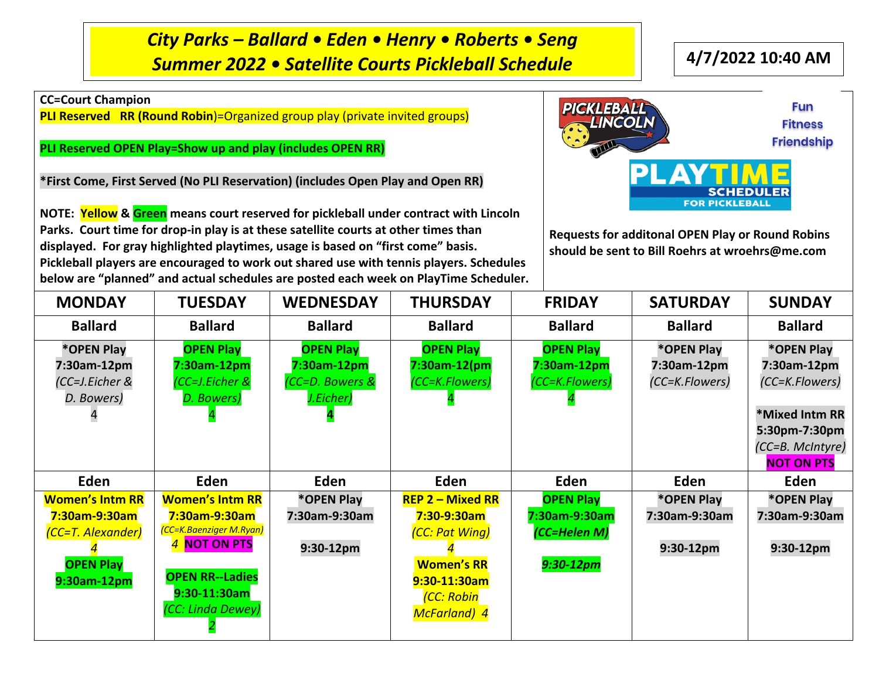*City Parks – Ballard • Eden • Henry • Roberts • Seng Summer 2022 • Satellite Courts Pickleball Schedule* **4/7/2022 10:40 AM**

**CC=Court Champion**

**PLI Reserved RR (Round Robin**)=Organized group play (private invited groups)

**PLI Reserved OPEN Play=Show up and play (includes OPEN RR)**

**\*First Come, First Served (No PLI Reservation) (includes Open Play and Open RR)**

**NOTE: Yellow & Green means court reserved for pickleball under contract with Lincoln Parks. Court time for drop-in play is at these satellite courts at other times than displayed. For gray highlighted playtimes, usage is based on "first come" basis. Pickleball players are encouraged to work out shared use with tennis players. Schedules below are "planned" and actual schedules are posted each week on PlayTime Scheduler.**



**Requests for additonal OPEN Play or Round Robins should be sent to Bill Roehrs at wroehrs@me.com**

| <b>MONDAY</b>                                                                                   | <b>TUESDAY</b>                                                                                                                                    | <b>WEDNESDAY</b>                                                | <b>THURSDAY</b>                                                                                                                | <b>FRIDAY</b>                                                    | <b>SATURDAY</b>                             | <b>SUNDAY</b>                                                                                      |
|-------------------------------------------------------------------------------------------------|---------------------------------------------------------------------------------------------------------------------------------------------------|-----------------------------------------------------------------|--------------------------------------------------------------------------------------------------------------------------------|------------------------------------------------------------------|---------------------------------------------|----------------------------------------------------------------------------------------------------|
| <b>Ballard</b>                                                                                  | <b>Ballard</b>                                                                                                                                    | <b>Ballard</b>                                                  | <b>Ballard</b>                                                                                                                 | <b>Ballard</b>                                                   | <b>Ballard</b>                              | <b>Ballard</b>                                                                                     |
| *OPEN Play<br>7:30am-12pm<br>(CC=J.Eicher &<br>D. Bowers)                                       | <b>OPEN Play</b><br>7:30am-12pm<br>(CC=J.Eicher &<br>D. Bowers)                                                                                   | <b>OPEN Play</b><br>7:30am-12pm<br>(CC=D. Bowers &<br>J.Eicher) | <b>OPEN Play</b><br>$7:30$ am-12 $(pm)$<br>(CC=K.Flowers)                                                                      | <b>OPEN Play</b><br>7:30am-12pm<br>(CC=K.Flowers)                | *OPEN Play<br>7:30am-12pm<br>(CC=K.Flowers) | *OPEN Play<br>7:30am-12pm<br>(CC=K.Flowers)<br>*Mixed Intm RR<br>5:30pm-7:30pm<br>(CC=B. McIntyre) |
| Eden                                                                                            | Eden                                                                                                                                              | Eden                                                            | Eden                                                                                                                           | Eden                                                             | Eden                                        | <b>NOT ON PTS</b><br>Eden                                                                          |
| <b>Women's Intm RR</b><br>7:30am-9:30am<br>(CC=T. Alexander)<br><b>OPEN Play</b><br>9:30am-12pm | <b>Women's Intm RR</b><br>7:30am-9:30am<br>(CC=K.Baenziger M.Ryan)<br>4 NOT ON PTS<br><b>OPEN RR--Ladies</b><br>9:30-11:30am<br>(CC: Linda Dewey) | *OPEN Play<br>7:30am-9:30am<br>9:30-12pm                        | $REP$ 2 – Mixed RR<br>7:30-9:30am<br>(CC: Pat Wing)<br><b>Women's RR</b><br>9:30-11:30am<br>(CC: Robin<br><b>McFarland</b> ) 4 | <b>OPEN Play</b><br>7:30am-9:30am<br>(CC=Helen M)<br>$9:30-12pm$ | *OPEN Play<br>7:30am-9:30am<br>9:30-12pm    | *OPEN Play<br>7:30am-9:30am<br>9:30-12pm                                                           |